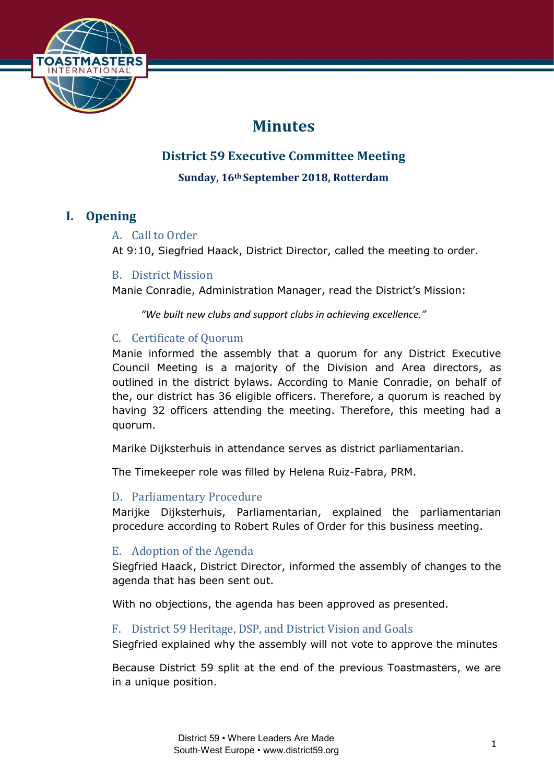

# **Minutes**

# **District 59 Executive Committee Meeting**

**Sunday, 16th September 2018, Rotterdam**

# **I. Opening**

# A. Call to Order

At 9:10, Siegfried Haack, District Director, called the meeting to order.

# B. District Mission

Manie Conradie, Administration Manager, read the District's Mission:

*"We built new clubs and support clubs in achieving excellence."*

# C. Certificate of Quorum

Manie informed the assembly that a quorum for any District Executive Council Meeting is a majority of the Division and Area directors, as outlined in the district bylaws. According to Manie Conradie, on behalf of the, our district has 36 eligible officers. Therefore, a quorum is reached by having 32 officers attending the meeting. Therefore, this meeting had a quorum.

Marike Dijksterhuis in attendance serves as district parliamentarian.

The Timekeeper role was filled by Helena Ruiz-Fabra, PRM.

# D. Parliamentary Procedure

Marijke Dijksterhuis, Parliamentarian, explained the parliamentarian procedure according to Robert Rules of Order for this business meeting.

# E. Adoption of the Agenda

Siegfried Haack, District Director, informed the assembly of changes to the agenda that has been sent out.

With no objections, the agenda has been approved as presented.

# F. District 59 Heritage, DSP, and District Vision and Goals

Siegfried explained why the assembly will not vote to approve the minutes

Because District 59 split at the end of the previous Toastmasters, we are in a unique position.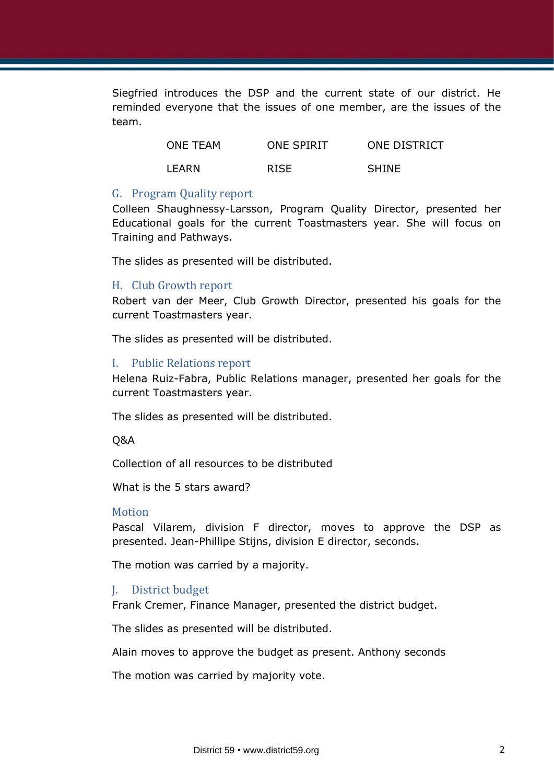Siegfried introduces the DSP and the current state of our district. He reminded everyone that the issues of one member, are the issues of the team.

| ONE TEAM | <b>ONE SPIRIT</b> | ONE DISTRICT |
|----------|-------------------|--------------|
| LEARN    | <b>RISE</b>       | <b>SHINE</b> |

#### G. Program Quality report

Colleen Shaughnessy-Larsson, Program Quality Director, presented her Educational goals for the current Toastmasters year. She will focus on Training and Pathways.

The slides as presented will be distributed.

#### H. Club Growth report

Robert van der Meer, Club Growth Director, presented his goals for the current Toastmasters year.

The slides as presented will be distributed.

#### I. Public Relations report

Helena Ruiz-Fabra, Public Relations manager, presented her goals for the current Toastmasters year.

The slides as presented will be distributed.

Q&A

Collection of all resources to be distributed

What is the 5 stars award?

#### Motion

Pascal Vilarem, division F director, moves to approve the DSP as presented. Jean-Phillipe Stijns, division E director, seconds.

The motion was carried by a majority.

#### J. District budget

Frank Cremer, Finance Manager, presented the district budget.

The slides as presented will be distributed.

Alain moves to approve the budget as present. Anthony seconds

The motion was carried by majority vote.